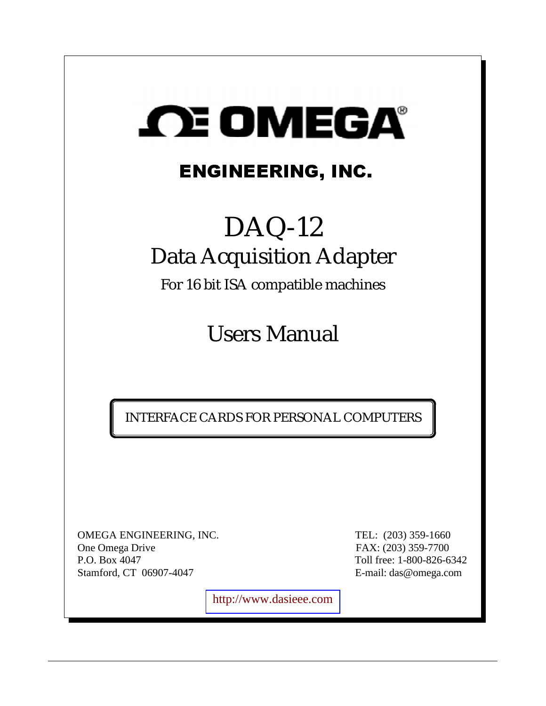

# ENGINEERING, INC.

# DAQ-12 Data Acquisition Adapter

For 16 bit ISA compatible machines

Users Manual

INTERFACE CARDS FOR PERSONAL COMPUTERS

OMEGA ENGINEERING, INC. TEL: (203) 359-1660 One Omega Drive FAX: (203) 359-7700 P.O. Box 4047 Toll free: 1-800-826-6342 Stamford, CT 06907-4047 E-mail: das@omega.com

[http://www.dasieee.com](http://www.dasieee.com/)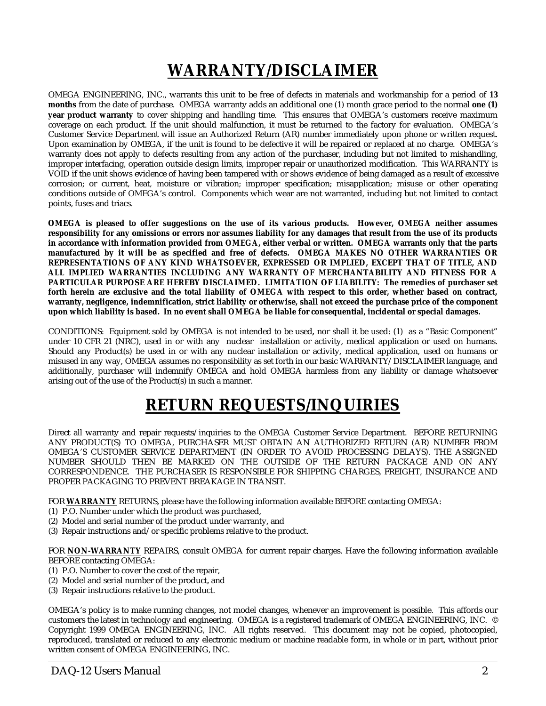# **WARRANTY/DISCLAIMER**

OMEGA ENGINEERING, INC., warrants this unit to be free of defects in materials and workmanship for a period of **13 months** from the date of purchase. OMEGA warranty adds an additional one (1) month grace period to the normal **one (1) year product warranty** to cover shipping and handling time. This ensures that OMEGA's customers receive maximum coverage on each product. If the unit should malfunction, it must be returned to the factory for evaluation. OMEGA's Customer Service Department will issue an Authorized Return (AR) number immediately upon phone or written request. Upon examination by OMEGA, if the unit is found to be defective it will be repaired or replaced at no charge. OMEGA's warranty does not apply to defects resulting from any action of the purchaser, including but not limited to mishandling, improper interfacing, operation outside design limits, improper repair or unauthorized modification. This WARRANTY is VOID if the unit shows evidence of having been tampered with or shows evidence of being damaged as a result of excessive corrosion; or current, heat, moisture or vibration; improper specification; misapplication; misuse or other operating conditions outside of OMEGA's control. Components which wear are not warranted, including but not limited to contact points, fuses and triacs.

**OMEGA is pleased to offer suggestions on the use of its various products. However, OMEGA neither assumes responsibility for any omissions or errors nor assumes liability for any damages that result from the use of its products in accordance with information provided from OMEGA, either verbal or written. OMEGA warrants only that the parts manufactured by it will be as specified and free of defects. OMEGA MAKES NO OTHER WARRANTIES OR REPRESENTATIONS OF ANY KIND WHATSOEVER, EXPRESSED OR IMPLIED, EXCEPT THAT OF TITLE, AND ALL IMPLIED WARRANTIES INCLUDING ANY WARRANTY OF MERCHANTABILITY AND FITNESS FOR A PARTICULAR PURPOSE ARE HEREBY DISCLAIMED. LIMITATION OF LIABILITY: The remedies of purchaser set forth herein are exclusive and the total liability of OMEGA with respect to this order, whether based on contract, warranty, negligence, indemnification, strict liability or otherwise, shall not exceed the purchase price of the component upon which liability is based. In no event shall OMEGA be liable for consequential, incidental or special damages.**

CONDITIONS: Equipment sold by OMEGA is not intended to be used**,** nor shall it be used: (1) as a "Basic Component" under 10 CFR 21 (NRC), used in or with any nuclear installation or activity, medical application or used on humans. Should any Product(s) be used in or with any nuclear installation or activity, medical application, used on humans or misused in any way, OMEGA assumes no responsibility as set forth in our basic WARRANTY/DISCLAIMER language, and additionally, purchaser will indemnify OMEGA and hold OMEGA harmless from any liability or damage whatsoever arising out of the use of the Product(s) in such a manner.

# **RETURN REQUESTS/INQUIRIES**

Direct all warranty and repair requests/inquiries to the OMEGA Customer Service Department. BEFORE RETURNING ANY PRODUCT(S) TO OMEGA, PURCHASER MUST OBTAIN AN AUTHORIZED RETURN (AR) NUMBER FROM OMEGA'S CUSTOMER SERVICE DEPARTMENT (IN ORDER TO AVOID PROCESSING DELAYS). THE ASSIGNED NUMBER SHOULD THEN BE MARKED ON THE OUTSIDE OF THE RETURN PACKAGE AND ON ANY CORRESPONDENCE. THE PURCHASER IS RESPONSIBLE FOR SHIPPING CHARGES, FREIGHT, INSURANCE AND PROPER PACKAGING TO PREVENT BREAKAGE IN TRANSIT.

FOR **WARRANTY** RETURNS, please have the following information available BEFORE contacting OMEGA:

- (1) P.O. Number under which the product was purchased,
- (2) Model and serial number of the product under warranty, and
- (3) Repair instructions and/or specific problems relative to the product.

FOR **NON-WARRANTY** REPAIRS, consult OMEGA for current repair charges. Have the following information available BEFORE contacting OMEGA:

- (1) P.O. Number to cover the cost of the repair,
- (2) Model and serial number of the product, and
- (3) Repair instructions relative to the product.

OMEGA's policy is to make running changes, not model changes, whenever an improvement is possible. This affords our customers the latest in technology and engineering. OMEGA is a registered trademark of OMEGA ENGINEERING, INC. © Copyright 1999 OMEGA ENGINEERING, INC. All rights reserved. This document may not be copied, photocopied, reproduced, translated or reduced to any electronic medium or machine readable form, in whole or in part, without prior written consent of OMEGA ENGINEERING, INC.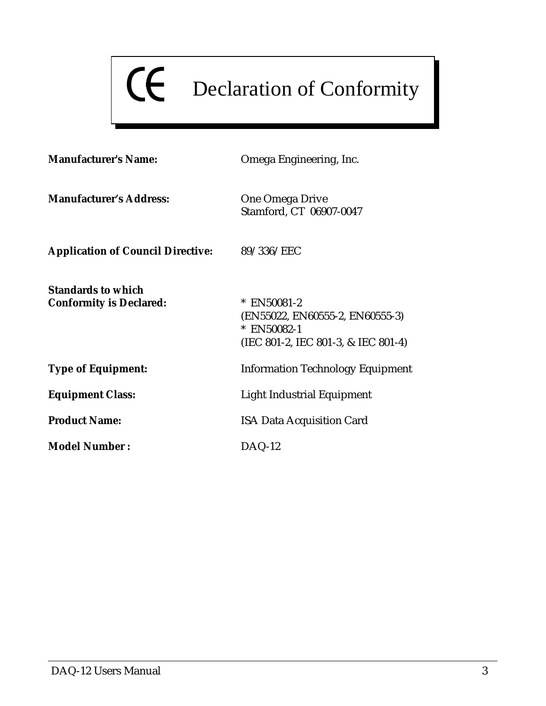# CE Declaration of Conformity

| <b>Manufacturer's Name:</b>                                 | Omega Engineering, Inc.                                                                              |
|-------------------------------------------------------------|------------------------------------------------------------------------------------------------------|
| <b>Manufacturer's Address:</b>                              | <b>One Omega Drive</b><br>Stamford, CT 06907-0047                                                    |
| <b>Application of Council Directive:</b>                    | 89/336/EEC                                                                                           |
| <b>Standards to which</b><br><b>Conformity is Declared:</b> | * EN50081-2<br>(EN55022, EN60555-2, EN60555-3)<br>* EN50082-1<br>(IEC 801-2, IEC 801-3, & IEC 801-4) |
| <b>Type of Equipment:</b>                                   | <b>Information Technology Equipment</b>                                                              |
| <b>Equipment Class:</b>                                     | Light Industrial Equipment                                                                           |
| <b>Product Name:</b>                                        | <b>ISA Data Acquisition Card</b>                                                                     |
| <b>Model Number:</b>                                        | $DAQ-12$                                                                                             |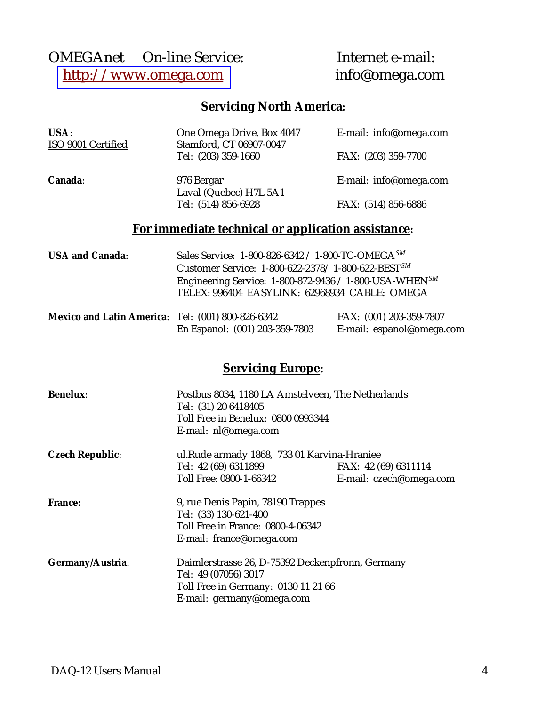## OMEGAnet<br>
© On-line Service: Internet e-mail:<br>
http://www.omega.com<br>
info@omega.com [http://www.omega.com](http://www.omega.com/)

### **Servicing North America:**

| USA:<br>ISO 9001 Certified | One Omega Drive, Box 4047<br>Stamford, CT 06907-0047         | E-mail: info@omega.com |
|----------------------------|--------------------------------------------------------------|------------------------|
|                            | Tel: (203) 359-1660                                          | FAX: (203) 359-7700    |
| Canada:                    | 976 Bergar<br>Laval (Quebec) H7L 5A1                         | E-mail: info@omega.com |
|                            | Tel: (514) 856-6928                                          | FAX: (514) 856-6886    |
|                            | For immediate technical or application assistance:           |                        |
| <b>USA and Canada:</b>     | Sales Service: 1-800-826-6342 / 1-800-TC-OMEGA <sup>SM</sup> |                        |

| <b>USA and Canada:</b> | Sales Service: 1-800-826-6342 / 1-800-TC-OMEGA $^{500}$               |
|------------------------|-----------------------------------------------------------------------|
|                        | Customer Service: $1-800-622-2378/1-800-622-BEST^{SM}$                |
|                        | Engineering Service: $1-800-872-9436 / 1-800$ -USA-WHEN <sup>SM</sup> |
|                        | TELEX: 996404 EASYLINK: 62968934 CABLE: OMEGA                         |
|                        |                                                                       |

| Mexico and Latin America: Tel: (001) 800-826-6342 |                                | FAX: (001) 203-359-7807   |
|---------------------------------------------------|--------------------------------|---------------------------|
|                                                   | En Espanol: (001) 203-359-7803 | E-mail: espanol@omega.com |

#### **Servicing Europe**:

| <b>Benelux:</b>        | Postbus 8034, 1180 LA Amstelveen, The Netherlands<br>Tel: (31) 20 6418405<br>Toll Free in Benelux: 0800 0993344<br>E-mail: nl@omega.com |                         |  |
|------------------------|-----------------------------------------------------------------------------------------------------------------------------------------|-------------------------|--|
| <b>Czech Republic:</b> | ul. Rude armady 1868, 733 01 Karvina-Hraniee                                                                                            |                         |  |
|                        | Tel: 42 (69) 6311899                                                                                                                    | FAX: 42 (69) 6311114    |  |
|                        | Toll Free: 0800-1-66342                                                                                                                 | E-mail: czech@omega.com |  |
| <b>France:</b>         | 9, rue Denis Papin, 78190 Trappes                                                                                                       |                         |  |
|                        | Tel: (33) 130-621-400                                                                                                                   |                         |  |
|                        | Toll Free in France: 0800-4-06342                                                                                                       |                         |  |
|                        | E-mail: france@omega.com                                                                                                                |                         |  |
| Germany/Austria:       | Daimlerstrasse 26, D-75392 Deckenpfronn, Germany                                                                                        |                         |  |
|                        | Tel: 49 (07056) 3017                                                                                                                    |                         |  |
|                        | Toll Free in Germany: 0130 11 21 66                                                                                                     |                         |  |
|                        | E-mail: germany@omega.com                                                                                                               |                         |  |
|                        |                                                                                                                                         |                         |  |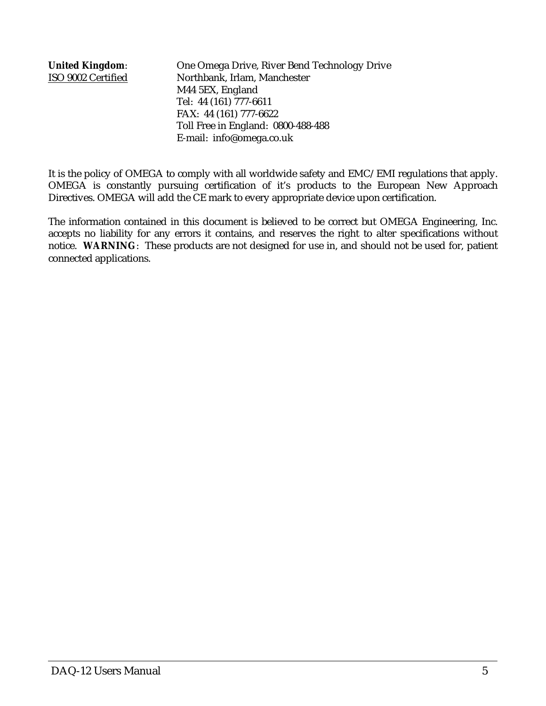**United Kingdom**: One Omega Drive, River Bend Technology Drive ISO 9002 Certified Northbank, Irlam, Manchester M44 5EX, England Tel: 44 (161) 777-6611 FAX: 44 (161) 777-6622 Toll Free in England: 0800-488-488 E-mail: info@omega.co.uk

It is the policy of OMEGA to comply with all worldwide safety and EMC/EMI regulations that apply. OMEGA is constantly pursuing certification of it's products to the European New Approach Directives. OMEGA will add the CE mark to every appropriate device upon certification.

The information contained in this document is believed to be correct but OMEGA Engineering, Inc. accepts no liability for any errors it contains, and reserves the right to alter specifications without notice. **WARNING**: These products are not designed for use in, and should not be used for, patient connected applications.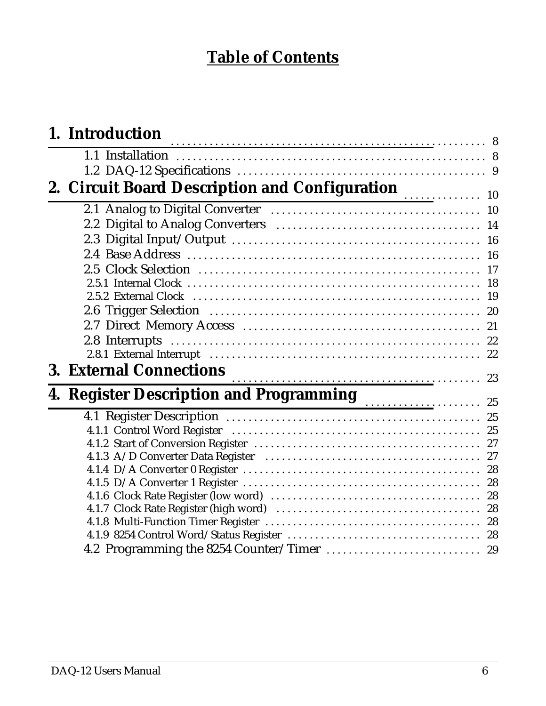# **Table of Contents**

| 1. Introduction                                                                         |  |
|-----------------------------------------------------------------------------------------|--|
|                                                                                         |  |
|                                                                                         |  |
| 2. Circuit Board Description and Configuration<br>2.1 Analog to Digital Converter<br>10 |  |
|                                                                                         |  |
|                                                                                         |  |
|                                                                                         |  |
|                                                                                         |  |
|                                                                                         |  |
|                                                                                         |  |
|                                                                                         |  |
|                                                                                         |  |
|                                                                                         |  |
|                                                                                         |  |
|                                                                                         |  |
| <b>3. External Connections</b>                                                          |  |
|                                                                                         |  |
| 4. Register Description and Programming<br>25                                           |  |
|                                                                                         |  |
|                                                                                         |  |
|                                                                                         |  |
|                                                                                         |  |
|                                                                                         |  |
|                                                                                         |  |
|                                                                                         |  |
|                                                                                         |  |
|                                                                                         |  |
|                                                                                         |  |
|                                                                                         |  |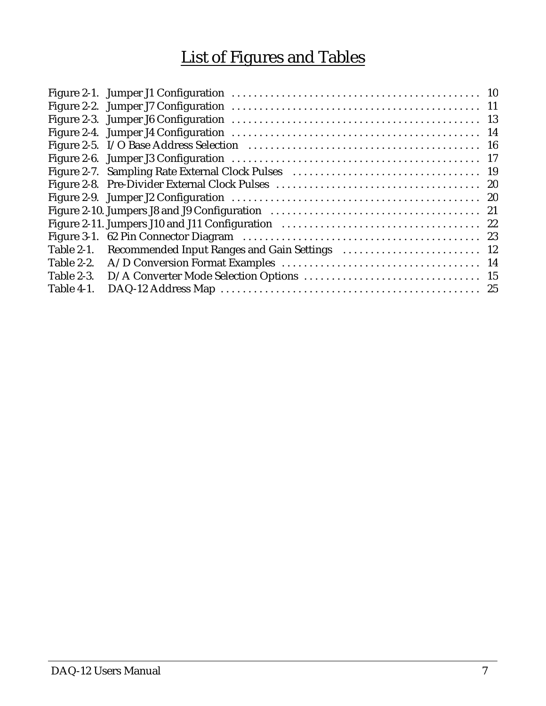# List of Figures and Tables

| Table 2-1. |  |
|------------|--|
| Table 2-2. |  |
| Table 2-3. |  |
| Table 4-1. |  |
|            |  |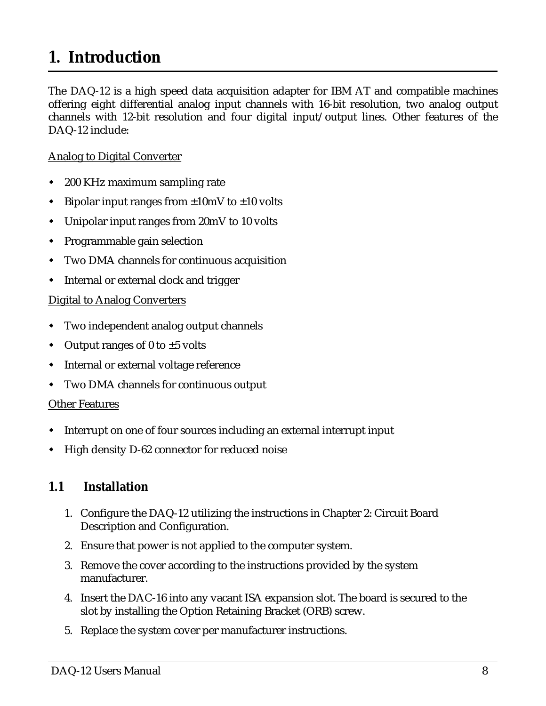# <span id="page-7-0"></span>**1. Introduction**

The DAQ-12 is a high speed data acquisition adapter for IBM AT and compatible machines offering eight differential analog input channels with 16-bit resolution, two analog output channels with 12-bit resolution and four digital input/output lines. Other features of the DAQ-12 include:

#### Analog to Digital Converter

- $\overline{a}$ 200 KHz maximum sampling rate
- $\overline{a}$ Bipolar input ranges from  $\pm 10$ mV to  $\pm 10$  volts
- $\overline{a}$ Unipolar input ranges from 20mV to 10 volts
- $\blacklozenge$ Programmable gain selection
- $\overline{a}$ Two DMA channels for continuous acquisition
- $\blacklozenge$ Internal or external clock and trigger

#### Digital to Analog Converters

- $\blacklozenge$ Two independent analog output channels
- $\blacklozenge$ Output ranges of 0 to  $\pm 5$  volts
- $\mathbf{r}$ **•** Internal or external voltage reference
- $\overline{a}$ Two DMA channels for continuous output

#### Other Features

- $\blacklozenge$ Interrupt on one of four sources including an external interrupt input
- $\overline{a}$ High density D-62 connector for reduced noise

#### **1.1 Installation**

- 1. Configure the DAQ-12 utilizing the instructions in Chapter 2: Circuit Board Description and Configuration.
- 2. Ensure that power is not applied to the computer system.
- 3. Remove the cover according to the instructions provided by the system manufacturer.
- 4. Insert the DAC-16 into any vacant ISA expansion slot. The board is secured to the slot by installing the Option Retaining Bracket (ORB) screw.
- 5. Replace the system cover per manufacturer instructions.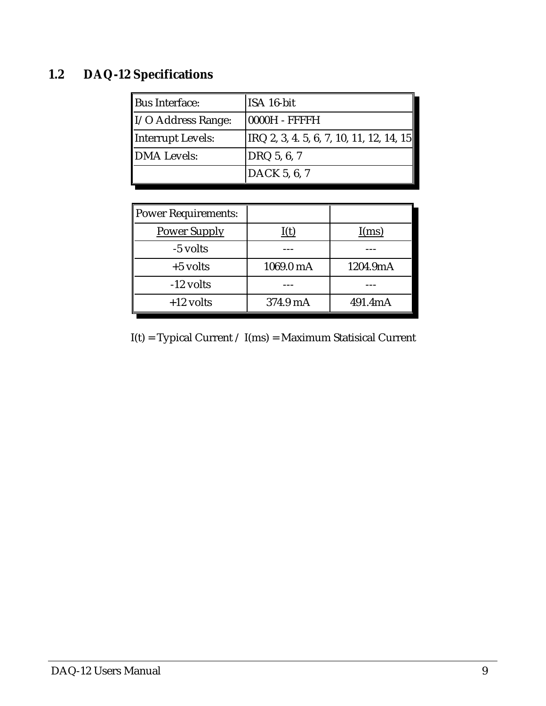# **1.2 DAQ-12 Specifications**

| Bus Interface:                 | ISA 16-bit                                        |
|--------------------------------|---------------------------------------------------|
| $\parallel$ I/O Address Range: | 0000H - FFFFH                                     |
| Interrupt Levels:              | $ {\rm IRQ}$ 2, 3, 4, 5, 6, 7, 10, 11, 12, 14, 15 |
| DMA Levels:                    | DRQ 5, 6, 7                                       |
|                                | DACK 5, 6, 7                                      |

| Power Requirements: |           |          |
|---------------------|-----------|----------|
| <b>Power Supply</b> | I(t)      | I(ms)    |
| -5 volts            |           |          |
| $+5$ volts          | 1069.0 mA | 1204.9mA |
| $-12$ volts         |           |          |
| $+12$ volts         | 374.9 mA  | 491.4mA  |

 $I(t) = Typical Current / I(ms) = Maximum Statistical Current$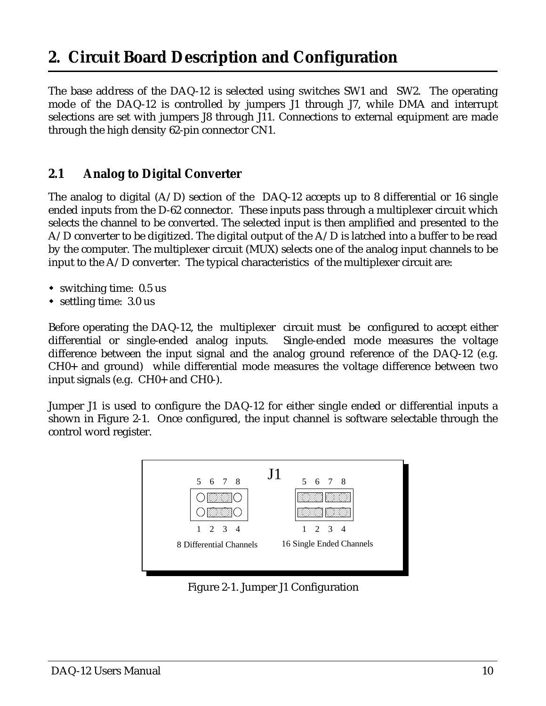# <span id="page-9-0"></span>**2. Circuit Board Description and Configuration**

The base address of the DAQ-12 is selected using switches SW1 and SW2. The operating mode of the DAQ-12 is controlled by jumpers J1 through J7, while DMA and interrupt selections are set with jumpers J8 through J11. Connections to external equipment are made through the high density 62-pin connector CN1.

#### **2.1 Analog to Digital Converter**

The analog to digital  $(A/D)$  section of the DAQ-12 accepts up to 8 differential or 16 single ended inputs from the D-62 connector. These inputs pass through a multiplexer circuit which selects the channel to be converted. The selected input is then amplified and presented to the A/D converter to be digitized. The digital output of the A/D is latched into a buffer to be read by the computer. The multiplexer circuit (MUX) selects one of the analog input channels to be input to the  $A/D$  converter. The typical characteristics of the multiplexer circuit are:

- switching time: 0.5 us
- settling time: 3.0 us

Before operating the DAQ-12, the multiplexer circuit must be configured to accept either differential or single-ended analog inputs. Single-ended mode measures the voltage difference between the input signal and the analog ground reference of the DAQ-12 (e.g. CH0+ and ground) while differential mode measures the voltage difference between two input signals (e.g. CH0+ and CH0-).

Jumper J1 is used to configure the DAQ-12 for either single ended or differential inputs a shown in Figure 2-1. Once configured, the input channel is software selectable through the control word register.



Figure 2-1. Jumper J1 Configuration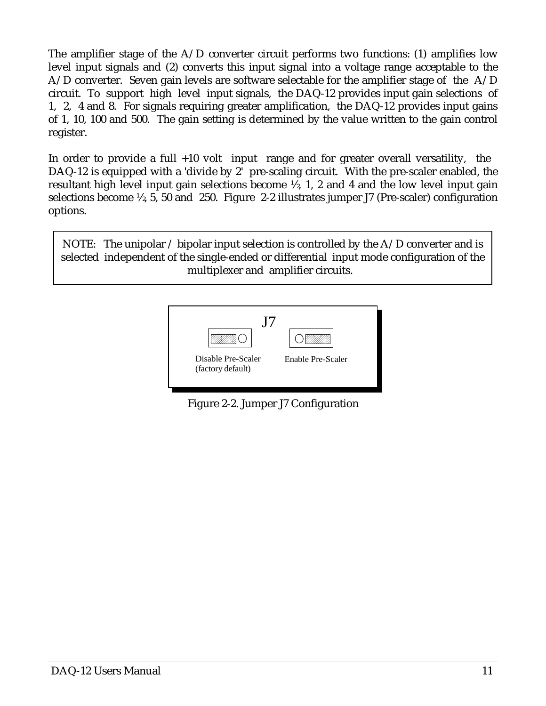The amplifier stage of the  $A/D$  converter circuit performs two functions: (1) amplifies low level input signals and (2) converts this input signal into a voltage range acceptable to the A/D converter. Seven gain levels are software selectable for the amplifier stage of the A/D circuit. To support high level input signals, the DAQ-12 provides input gain selections of 1, 2, 4 and 8. For signals requiring greater amplification, the DAQ-12 provides input gains of 1, 10, 100 and 500. The gain setting is determined by the value written to the gain control register.

In order to provide a full  $+10$  volt input range and for greater overall versatility, the DAQ-12 is equipped with a 'divide by 2' pre-scaling circuit. With the pre-scaler enabled, the resultant high level input gain selections become ½, 1, 2 and 4 and the low level input gain selections become ½, 5, 50 and 250. Figure 2-2 illustrates jumper J7 (Pre-scaler) configuration options.

NOTE: The unipolar  $\ell$  bipolar input selection is controlled by the A $\ell$ D converter and is selected independent of the single-ended or differential input mode configuration of the multiplexer and amplifier circuits.



Figure 2-2. Jumper J7 Configuration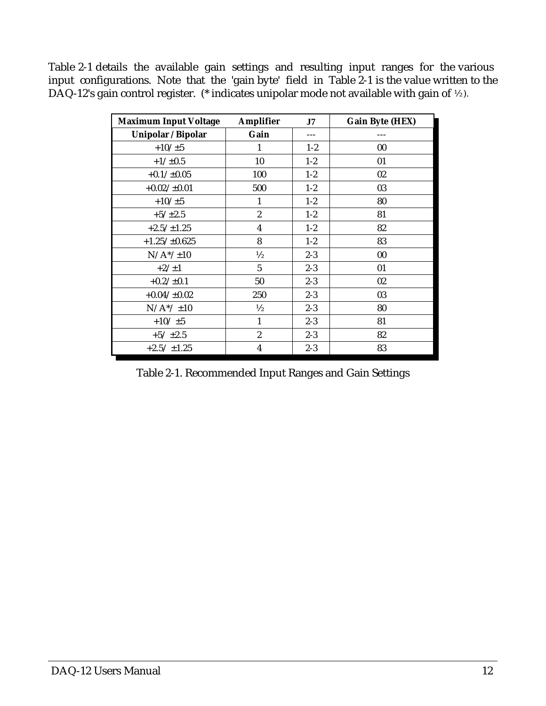Table 2-1 details the available gain settings and resulting input ranges for the various input configurations. Note that the 'gain byte' field in Table 2-1 is the value written to the DAQ-12's gain control register. (\* indicates unipolar mode not available with gain of ½ ).

| <b>Maximum Input Voltage</b> | <b>Amplifier</b> | J7      | <b>Gain Byte (HEX)</b> |
|------------------------------|------------------|---------|------------------------|
| Unipolar / Bipolar           | Gain             |         |                        |
| $+10/\pm 5$                  | 1                | $1-2$   | $00\,$                 |
| $+1/\pm 0.5$                 | 10               | $1-2$   | 01                     |
| $+0.1/\pm0.05$               | 100              | $1-2$   | 02                     |
| $+0.02/\pm0.01$              | 500              | $1-2$   | 03                     |
| $+10/\pm 5$                  | 1                | $1-2$   | 80                     |
| $+5/\pm 2.5$                 | $\boldsymbol{2}$ | $1 - 2$ | 81                     |
| $+2.5/\pm1.25$               | $\boldsymbol{4}$ | $1 - 2$ | 82                     |
| $+1.25/\pm0.625$             | 8                | $1-2$   | 83                     |
| $N/A*/\pm10$                 | $\frac{1}{2}$    | $2 - 3$ | $00\,$                 |
| $+2/\pm 1$                   | $\overline{5}$   | $2 - 3$ | 01                     |
| $+0.2/\pm0.1$                | 50               | $2 - 3$ | $02\,$                 |
| $+0.04/\pm0.02$              | 250              | $2 - 3$ | 03                     |
| $N/A*/\pm 10$                | $\frac{1}{2}$    | $2 - 3$ | 80                     |
| $+10/15$                     | $\mathbf{1}$     | $2 - 3$ | 81                     |
| $+5/ \pm 2.5$                | $\overline{c}$   | $2 - 3$ | 82                     |
| $+2.5/ \pm 1.25$             | $\boldsymbol{4}$ | $2 - 3$ | 83                     |

Table 2-1. Recommended Input Ranges and Gain Settings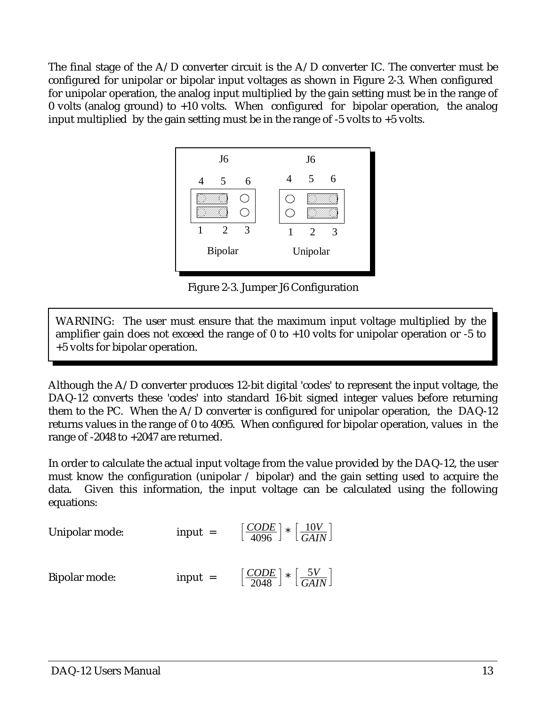The final stage of the  $A/D$  converter circuit is the  $A/D$  converter IC. The converter must be configured for unipolar or bipolar input voltages as shown in Figure 2-3. When configured for unipolar operation, the analog input multiplied by the gain setting must be in the range of 0 volts (analog ground) to +10 volts. When configured for bipolar operation, the analog input multiplied by the gain setting must be in the range of  $-5$  volts to  $+5$  volts.



Figure 2-3. Jumper J6 Configuration

WARNING: The user must ensure that the maximum input voltage multiplied by the amplifier gain does not exceed the range of 0 to +10 volts for unipolar operation or -5 to +5 volts for bipolar operation.

Although the A/D converter produces 12-bit digital 'codes' to represent the input voltage, the DAQ-12 converts these 'codes' into standard 16-bit signed integer values before returning them to the PC. When the A/D converter is configured for unipolar operation, the DAQ-12 returns values in the range of 0 to 4095. When configured for bipolar operation, values in the range of -2048 to +2047 are returned.

In order to calculate the actual input voltage from the value provided by the DAQ-12, the user must know the configuration (unipolar / bipolar) and the gain setting used to acquire the data. Given this information, the input voltage can be calculated using the following equations:

Unipolar mode:

\n
$$
\text{input} = \left[\frac{CODE}{4096}\right] * \left[\frac{10V}{GAIN}\right]
$$
\nBipolar mode:

\n
$$
\text{input} = \left[\frac{CODE}{2048}\right] * \left[\frac{5V}{GAIN}\right]
$$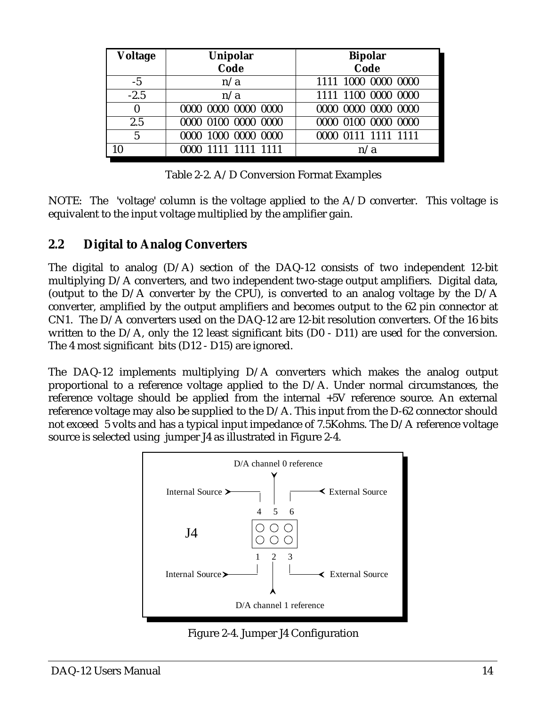| <b>Voltage</b>   | Unipolar            | <b>Bipolar</b>      |
|------------------|---------------------|---------------------|
|                  | Code                | Code                |
| $-5$             | n/a                 | 1111 1000 0000 0000 |
| $-2.5$           | n/a                 | 1111 1100 0000 0000 |
| $\boldsymbol{0}$ | 0000 0000 0000 0000 | 0000 0000 0000 0000 |
| 2.5              | 0000 0100 0000 0000 | 0000 0100 0000 0000 |
| $\overline{5}$   | 0000 1000 0000 0000 | 0000 0111 1111 1111 |
| 10               | 0000 1111 1111 1111 | n/a                 |

Table 2-2. A/D Conversion Format Examples

NOTE: The 'voltage' column is the voltage applied to the  $A/D$  converter. This voltage is equivalent to the input voltage multiplied by the amplifier gain.

#### **2.2 Digital to Analog Converters**

The digital to analog  $(D/A)$  section of the DAQ-12 consists of two independent 12-bit multiplying D/A converters, and two independent two-stage output amplifiers. Digital data, (output to the D/A converter by the CPU), is converted to an analog voltage by the D/A converter, amplified by the output amplifiers and becomes output to the 62 pin connector at CN1. The D/A converters used on the DAQ-12 are 12-bit resolution converters. Of the 16 bits written to the D/A, only the 12 least significant bits (D0 - D11) are used for the conversion. The 4 most significant bits (D12 - D15) are ignored.

The DAQ-12 implements multiplying D/A converters which makes the analog output proportional to a reference voltage applied to the D/A. Under normal circumstances, the reference voltage should be applied from the internal +5V reference source. An external reference voltage may also be supplied to the D/A. This input from the D-62 connector should not exceed 5 volts and has a typical input impedance of 7.5Kohms. The D/A reference voltage source is selected using jumper J4 as illustrated in Figure 2-4.



Figure 2-4. Jumper J4 Configuration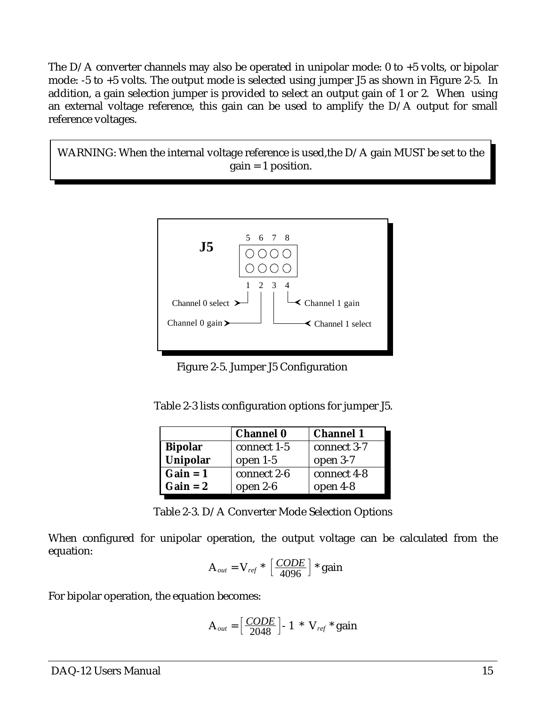The D/A converter channels may also be operated in unipolar mode: 0 to +5 volts, or bipolar mode: -5 to +5 volts. The output mode is selected using jumper J5 as shown in Figure 2-5. In addition, a gain selection jumper is provided to select an output gain of 1 or 2. When using an external voltage reference, this gain can be used to amplify the D/A output for small reference voltages.

WARNING: When the internal voltage reference is used,the D/A gain MUST be set to the gain = 1 position.



Figure 2-5. Jumper J5 Configuration

| Table 2-3 lists configuration options for jumper J5. |  |
|------------------------------------------------------|--|
|------------------------------------------------------|--|

|                | <b>Channel 0</b> | <b>Channel 1</b> |
|----------------|------------------|------------------|
| <b>Bipolar</b> | connect 1-5      | connect 3-7      |
| Unipolar       | open $1-5$       | open 3-7         |
| $Gain = 1$     | connect 2-6      | connect 4-8      |
| $Gain = 2$     | open $2-6$       | open 4-8         |

Table 2-3. D/A Converter Mode Selection Options

When configured for unipolar operation, the output voltage can be calculated from the equation:

$$
A_{out} = V_{ref} * \left[\frac{CODE}{4096}\right] * gain
$$

For bipolar operation, the equation becomes:

$$
A_{out} = \left[\frac{CODE}{2048}\right] - 1 \cdot V_{ref} \cdot gain
$$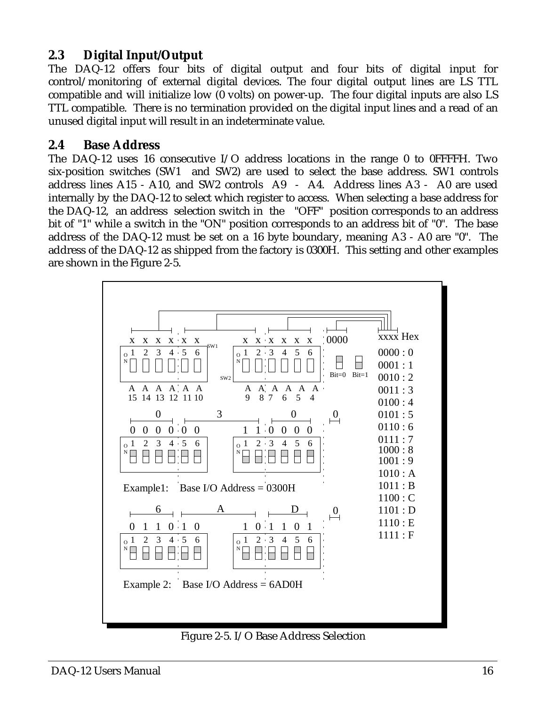#### **2.3 Digital Input/Output**

The DAQ-12 offers four bits of digital output and four bits of digital input for control/monitoring of external digital devices. The four digital output lines are LS TTL compatible and will initialize low (0 volts) on power-up. The four digital inputs are also LS TTL compatible. There is no termination provided on the digital input lines and a read of an unused digital input will result in an indeterminate value.

#### **2.4 Base Address**

The DAQ-12 uses 16 consecutive I/O address locations in the range 0 to 0FFFFH. Two six-position switches (SW1 and SW2) are used to select the base address. SW1 controls address lines A15 - A10, and SW2 controls A9 - A4. Address lines A3 - A0 are used internally by the DAQ-12 to select which register to access. When selecting a base address for the DAQ-12, an address selection switch in the "OFF" position corresponds to an address bit of "1" while a switch in the "ON" position corresponds to an address bit of "0". The base address of the DAQ-12 must be set on a 16 byte boundary, meaning A3 - A0 are "0". The address of the DAQ-12 as shipped from the factory is 0300H. This setting and other examples are shown in the Figure 2-5.



Figure 2-5. I/O Base Address Selection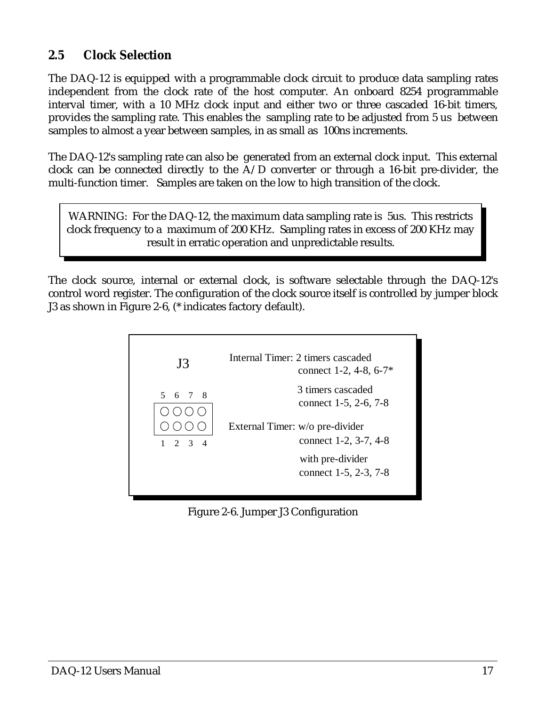#### **2.5 Clock Selection**

The DAQ-12 is equipped with a programmable clock circuit to produce data sampling rates independent from the clock rate of the host computer. An onboard 8254 programmable interval timer, with a 10 MHz clock input and either two or three cascaded 16-bit timers, provides the sampling rate. This enables the sampling rate to be adjusted from 5 us between samples to almost a year between samples, in as small as 100ns increments.

The DAQ-12's sampling rate can also be generated from an external clock input. This external clock can be connected directly to the A/D converter or through a 16-bit pre-divider, the multi-function timer. Samples are taken on the low to high transition of the clock.

WARNING: For the DAQ-12, the maximum data sampling rate is 5us. This restricts clock frequency to a maximum of 200 KHz. Sampling rates in excess of 200 KHz may result in erratic operation and unpredictable results.

The clock source, internal or external clock, is software selectable through the DAQ-12's control word register. The configuration of the clock source itself is controlled by jumper block J3 as shown in Figure 2-6, (\* indicates factory default).



Figure 2-6. Jumper J3 Configuration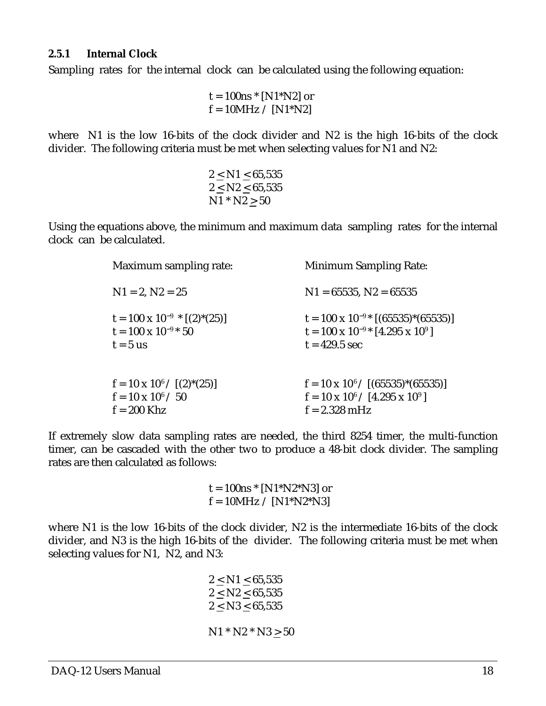#### **2.5.1 Internal Clock**

Sampling rates for the internal clock can be calculated using the following equation:

 $t = 100$ ns  $*$  [N1 $*$ N2] or  $f = 10MHz / [N1*N2]$ 

where N1 is the low 16-bits of the clock divider and N2 is the high 16-bits of the clock divider. The following criteria must be met when selecting values for N1 and N2:

$$
\begin{array}{c} 2 \leq \mathrm{N1} \leq 65,535 \\ 2 \leq \mathrm{N2} \leq 65,535 \\ \mathrm{N1} * \mathrm{N2} \geq 50 \end{array}
$$

Using the equations above, the minimum and maximum data sampling rates for the internal clock can be calculated.

| Maximum sampling rate:                                                              | <b>Minimum Sampling Rate:</b>                                                                                       |
|-------------------------------------------------------------------------------------|---------------------------------------------------------------------------------------------------------------------|
| $N1 = 2, N2 = 25$                                                                   | $N1 = 65535$ , $N2 = 65535$                                                                                         |
| $t = 100 \times 10^{-9}$ * [(2)*(25)]<br>$t = 100 \times 10^{-9*} 50$<br>$t = 5$ us | $t = 100 \times 10^{-9}$ (65535)*(65535)]<br>$t = 100 \times 10^{-9}$ [4.295 x 10 <sup>9</sup> ]<br>$t = 429.5$ sec |
| $f = 10 \times 10^6 / [(2)^*(25)]$<br>$f = 10 \times 10^6 / 50$<br>$f = 200$ Khz    | $f = 10 \times 10^{6} / [(65535)^*(65535)]$<br>$f = 10 \times 10^6 / [4.295 \times 10^9]$<br>$f = 2.328$ mHz        |

If extremely slow data sampling rates are needed, the third 8254 timer, the multi-function timer, can be cascaded with the other two to produce a 48-bit clock divider. The sampling rates are then calculated as follows:

> $t = 100$ ns \* [N1\*N2\*N3] or  $f = 10MHz / [N1*N2*N3]$

where N1 is the low 16-bits of the clock divider, N2 is the intermediate 16-bits of the clock divider, and N3 is the high 16-bits of the divider. The following criteria must be met when selecting values for N1, N2, and N3:

> $2 < N1 < 65,535$  $2 \le N2 \le 65,535$  $2 \leq N3 \leq 65,535$  $N1 * N2 * N3 \ge 50$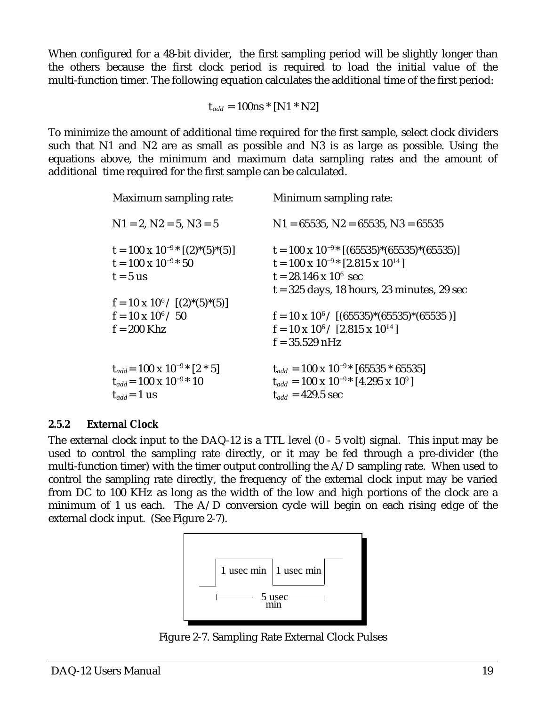When configured for a 48-bit divider, the first sampling period will be slightly longer than the others because the first clock period is required to load the initial value of the multi-function timer. The following equation calculates the additional time of the first period:

 $t_{add} = 100$ ns \* [N1 \* N2]

To minimize the amount of additional time required for the first sample, select clock dividers such that N1 and N2 are as small as possible and N3 is as large as possible. Using the equations above, the minimum and maximum data sampling rates and the amount of additional time required for the first sample can be calculated.

| Maximum sampling rate:                                                                           | Minimum sampling rate:                                                                                                                                                                      |
|--------------------------------------------------------------------------------------------------|---------------------------------------------------------------------------------------------------------------------------------------------------------------------------------------------|
| $N1 = 2, N2 = 5, N3 = 5$                                                                         | $N1 = 65535$ , $N2 = 65535$ , $N3 = 65535$                                                                                                                                                  |
| $t = 100 \times 10^{-9}$ $(2)$ $(5)$ $(5)$ ]<br>$t = 100 \times 10^{-9*} 50$<br>$t = 5$ us       | $t = 100 \times 10^{-9*}$ [(65535)*(65535)*(65535)]<br>$t = 100 \times 10^{-9}$ [2.815 x 10 <sup>14</sup> ]<br>$t = 28.146 \times 10^6$ sec<br>$t = 325$ days, 18 hours, 23 minutes, 29 sec |
| $f = 10 \times 10^6 / [(2)^*(5)^*(5)]$<br>$f = 10 \times 10^6 / 50$<br>$f = 200$ Khz             | $f = 10 \times 10^6 / [(65535)^*(65535)^*(65535)]$<br>$f = 10 \times 10^6 / [2.815 \times 10^{14}]$<br>$f = 35.529$ nHz                                                                     |
| $t_{add} = 100 \times 10^{-9}$ [2 * 5]<br>$t_{add} = 100 \times 10^{-9*} 10$<br>$t_{add} = 1$ us | $t_{add} = 100 \times 10^{-9*} [65535 * 65535]$<br>$t_{add} = 100 \times 10^{-9*} [4.295 \times 10^9]$<br>$t_{add} = 429.5$ sec                                                             |

#### **2.5.2 External Clock**

The external clock input to the DAQ-12 is a TTL level (0 - 5 volt) signal. This input may be used to control the sampling rate directly, or it may be fed through a pre-divider (the multi-function timer) with the timer output controlling the  $A/D$  sampling rate. When used to control the sampling rate directly, the frequency of the external clock input may be varied from DC to 100 KHz as long as the width of the low and high portions of the clock are a minimum of 1 us each. The  $A/D$  conversion cycle will begin on each rising edge of the external clock input. (See Figure 2-7).



Figure 2-7. Sampling Rate External Clock Pulses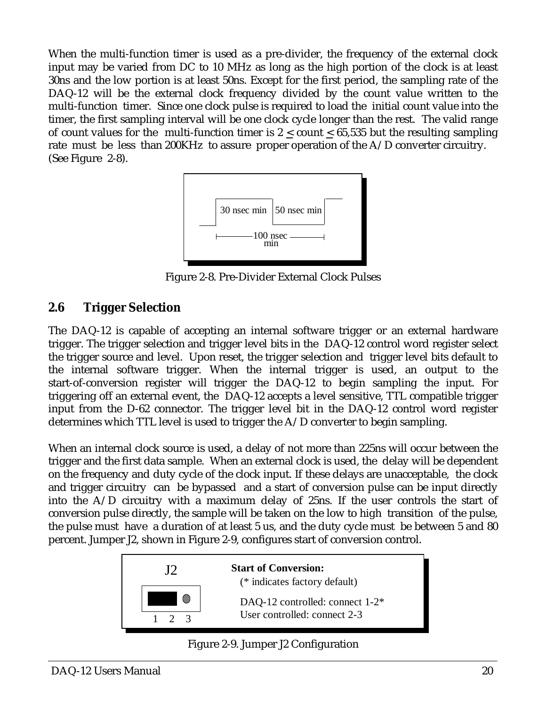When the multi-function timer is used as a pre-divider, the frequency of the external clock input may be varied from DC to 10 MHz as long as the high portion of the clock is at least 30ns and the low portion is at least 50ns. Except for the first period, the sampling rate of the DAQ-12 will be the external clock frequency divided by the count value written to the multi-function timer. Since one clock pulse is required to load the initial count value into the timer, the first sampling interval will be one clock cycle longer than the rest. The valid range of count values for the multi-function timer is  $2 <$  count  $< 65,535$  but the resulting sampling rate must be less than 200KHz to assure proper operation of the A/D converter circuitry. (See Figure 2-8).



Figure 2-8. Pre-Divider External Clock Pulses

#### **2.6 Trigger Selection**

The DAQ-12 is capable of accepting an internal software trigger or an external hardware trigger. The trigger selection and trigger level bits in the DAQ-12 control word register select the trigger source and level. Upon reset, the trigger selection and trigger level bits default to the internal software trigger. When the internal trigger is used, an output to the start-of-conversion register will trigger the DAQ-12 to begin sampling the input. For triggering off an external event, the DAQ-12 accepts a level sensitive, TTL compatible trigger input from the D-62 connector. The trigger level bit in the DAQ-12 control word register determines which TTL level is used to trigger the A/D converter to begin sampling.

When an internal clock source is used, a delay of not more than 225ns will occur between the trigger and the first data sample. When an external clock is used, the delay will be dependent on the frequency and duty cycle of the clock input. If these delays are unacceptable, the clock and trigger circuitry can be bypassed and a start of conversion pulse can be input directly into the A/D circuitry with a maximum delay of 25ns. If the user controls the start of conversion pulse directly, the sample will be taken on the low to high transition of the pulse, the pulse must have a duration of at least 5 us, and the duty cycle must be between 5 and 80 percent. Jumper J2, shown in Figure 2-9, configures start of conversion control.



J2 **Start of Conversion:** (\* indicates factory default)

DAQ-12 controlled: connect 1-2\* User controlled: connect 2-3

Figure 2-9. Jumper J2 Configuration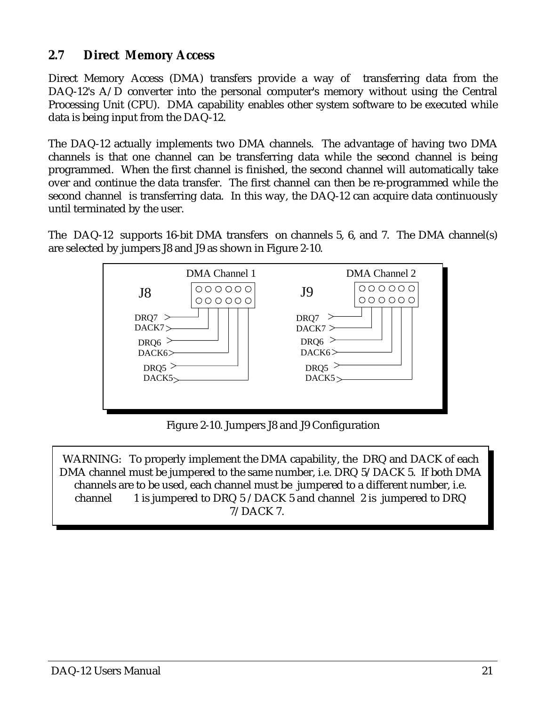#### **2.7 Direct Memory Access**

Direct Memory Access (DMA) transfers provide a way of transferring data from the DAQ-12's A/D converter into the personal computer's memory without using the Central Processing Unit (CPU). DMA capability enables other system software to be executed while data is being input from the DAQ-12.

The DAQ-12 actually implements two DMA channels. The advantage of having two DMA channels is that one channel can be transferring data while the second channel is being programmed. When the first channel is finished, the second channel will automatically take over and continue the data transfer. The first channel can then be re-programmed while the second channel is transferring data. In this way, the DAQ-12 can acquire data continuously until terminated by the user.

The DAQ-12 supports 16-bit DMA transfers on channels 5, 6, and 7. The DMA channel(s) are selected by jumpers J8 and J9 as shown in Figure 2-10.



Figure 2-10. Jumpers J8 and J9 Configuration

WARNING: To properly implement the DMA capability, the DRQ and DACK of each DMA channel must be jumpered to the same number, i.e. DRQ 5/DACK 5. If both DMA channels are to be used, each channel must be jumpered to a different number, i.e. channel 1 is jumpered to DRQ  $5$  /DACK  $5$  and channel 2 is jumpered to DRQ 7/DACK 7.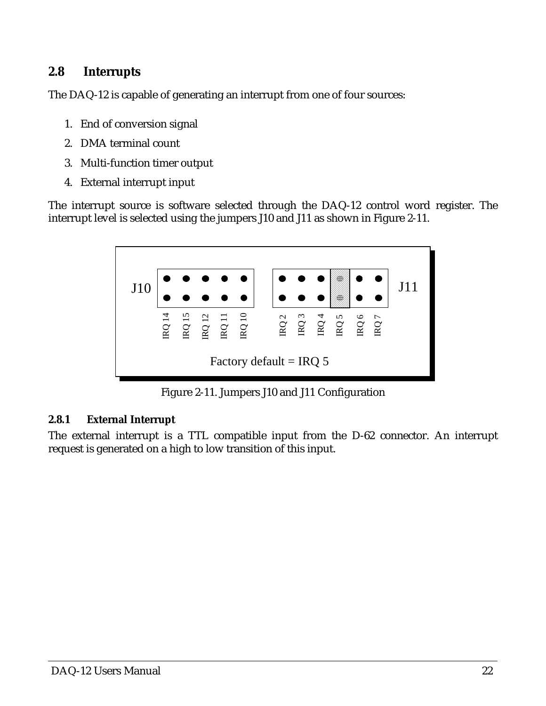#### **2.8 Interrupts**

The DAQ-12 is capable of generating an interrupt from one of four sources:

- 1. End of conversion signal
- 2. DMA terminal count
- 3. Multi-function timer output
- 4. External interrupt input

The interrupt source is software selected through the DAQ-12 control word register. The interrupt level is selected using the jumpers J10 and J11 as shown in Figure 2-11.



Figure 2-11. Jumpers J10 and J11 Configuration

#### **2.8.1 External Interrupt**

The external interrupt is a TTL compatible input from the D-62 connector. An interrupt request is generated on a high to low transition of this input.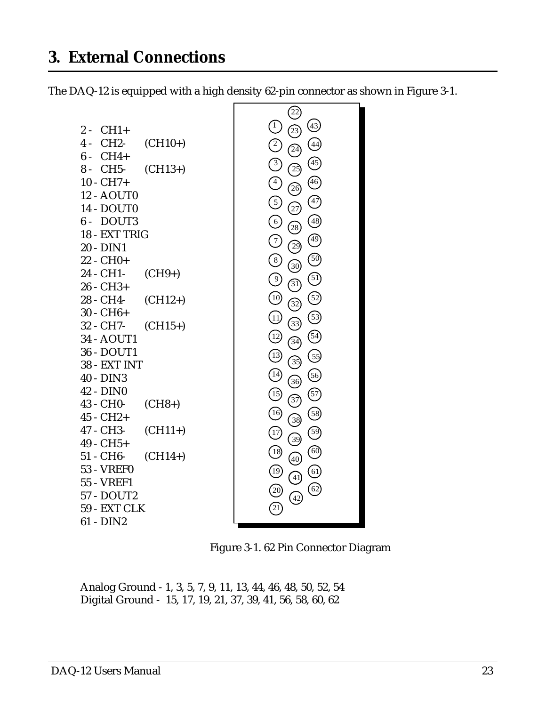<span id="page-22-0"></span>The DAQ-12 is equipped with a high density 62-pin connector as shown in Figure 3-1.



Figure 3-1. 62 Pin Connector Diagram

Analog Ground - 1, 3, 5, 7, 9, 11, 13, 44, 46, 48, 50, 52, 54 Digital Ground - 15, 17, 19, 21, 37, 39, 41, 56, 58, 60, 62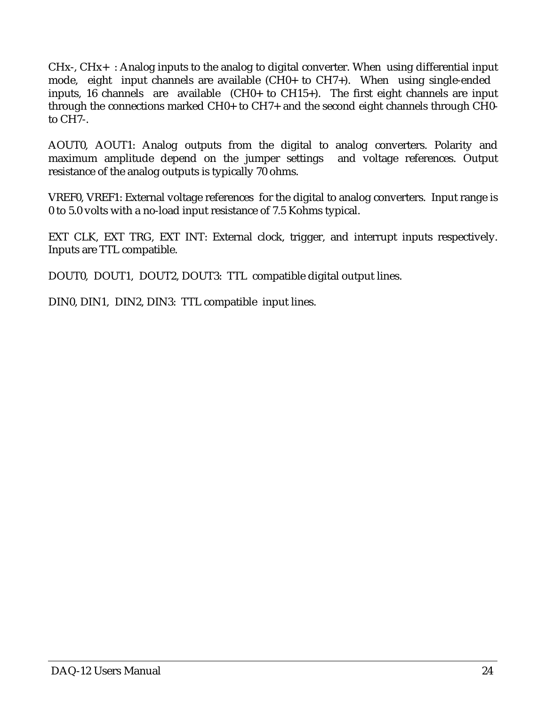CHx-, CHx+ : Analog inputs to the analog to digital converter. When using differential input mode, eight input channels are available (CH0+ to CH7+). When using single-ended inputs, 16 channels are available (CH0+ to CH15+). The first eight channels are input through the connections marked CH0+ to CH7+ and the second eight channels through CH0 to CH7-.

AOUT0, AOUT1: Analog outputs from the digital to analog converters. Polarity and maximum amplitude depend on the jumper settings and voltage references. Output resistance of the analog outputs is typically 70 ohms.

VREF0, VREF1: External voltage references for the digital to analog converters. Input range is 0 to 5.0 volts with a no-load input resistance of 7.5 Kohms typical.

EXT CLK, EXT TRG, EXT INT: External clock, trigger, and interrupt inputs respectively. Inputs are TTL compatible.

DOUT0, DOUT1, DOUT2, DOUT3: TTL compatible digital output lines.

DIN0, DIN1, DIN2, DIN3: TTL compatible input lines.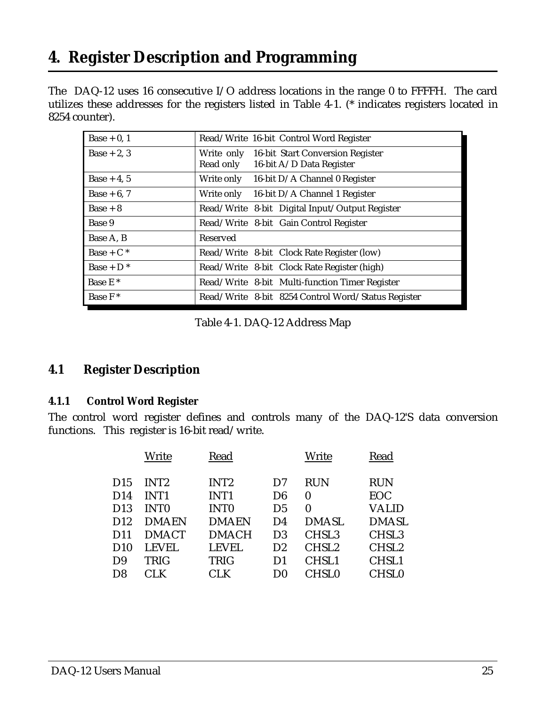# <span id="page-24-0"></span>**4. Register Description and Programming**

The DAQ-12 uses 16 consecutive I/O address locations in the range 0 to FFFFH. The card utilizes these addresses for the registers listed in Table 4-1. (\* indicates registers located in 8254 counter).

| Base $+0, 1$        | Read/Write 16-bit Control Word Register                                              |  |
|---------------------|--------------------------------------------------------------------------------------|--|
| $Base + 2, 3$       | Write only 16-bit Start Conversion Register<br>Read only<br>16-bit A/D Data Register |  |
| Base $+4, 5$        | 16-bit D/A Channel 0 Register<br>Write only                                          |  |
| Base $+6, 7$        | Write only $16$ -bit D/A Channel 1 Register                                          |  |
| $Base + 8$          | Read/Write 8-bit Digital Input/Output Register                                       |  |
| Base 9              | Read/Write 8-bit Gain Control Register                                               |  |
| Base A, B           | Reserved                                                                             |  |
| Base + $C^*$        | Read/Write 8-bit Clock Rate Register (low)                                           |  |
| $Base + D^*$        | Read/Write 8-bit Clock Rate Register (high)                                          |  |
| Base E <sup>*</sup> | Read/Write 8-bit Multi-function Timer Register                                       |  |
| Base $F^*$          | Read/Write 8-bit 8254 Control Word/Status Register                                   |  |

Table 4-1. DAQ-12 Address Map

#### **4.1 Register Description**

#### **4.1.1 Control Word Register**

The control word register defines and controls many of the DAQ-12'S data conversion functions. This register is 16-bit read/write.

|                 | Write            | Read             |                | Write             | Read              |
|-----------------|------------------|------------------|----------------|-------------------|-------------------|
| D <sub>15</sub> | INT <sub>2</sub> | INT <sub>2</sub> | D7             | <b>RUN</b>        | <b>RUN</b>        |
| D <sub>14</sub> | <b>INT1</b>      | INT <sub>1</sub> | D <sub>6</sub> | $\boldsymbol{0}$  | <b>EOC</b>        |
| D <sub>13</sub> | <b>INTO</b>      | <b>INTO</b>      | D <sub>5</sub> | $\bf{0}$          | VALID             |
| D12             | <b>DMAEN</b>     | <b>DMAEN</b>     | D4             | <b>DMASL</b>      | <b>DMASL</b>      |
| D11             | <b>DMACT</b>     | <b>DMACH</b>     | D <sub>3</sub> | CHSL <sub>3</sub> | CHSL <sub>3</sub> |
| D10             | <b>LEVEL</b>     | <b>LEVEL</b>     | D2             | CHSL <sub>2</sub> | CHSL <sub>2</sub> |
| D <sub>9</sub>  | <b>TRIG</b>      | <b>TRIG</b>      | D1             | CHSL1             | CHSL1             |
| D8              | CLK              | CLK              | D0             | <b>CHSL0</b>      | <b>CHSL0</b>      |
|                 |                  |                  |                |                   |                   |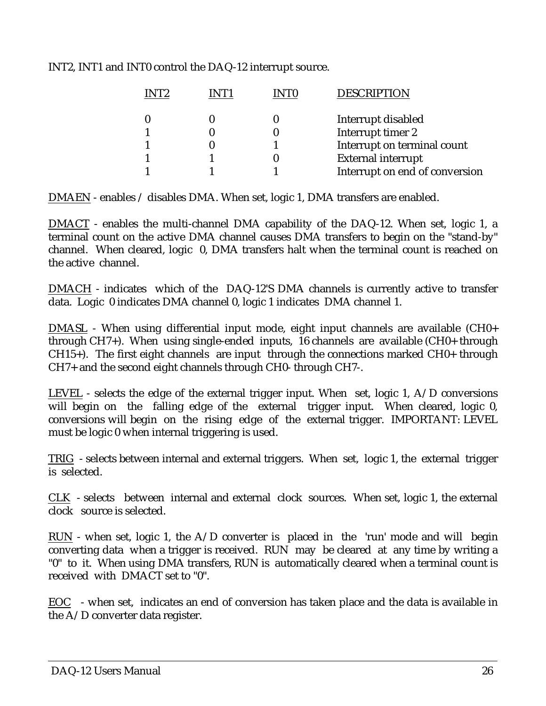|  |  |  | INT2, INT1 and INT0 control the DAQ-12 interrupt source. |  |
|--|--|--|----------------------------------------------------------|--|
|  |  |  |                                                          |  |

|  | <b>DESCRIPTION</b>             |
|--|--------------------------------|
|  | Interrupt disabled             |
|  | Interrupt timer 2              |
|  | Interrupt on terminal count    |
|  | <b>External interrupt</b>      |
|  | Interrupt on end of conversion |
|  |                                |

DMAEN - enables / disables DMA. When set, logic 1, DMA transfers are enabled.

DMACT - enables the multi-channel DMA capability of the DAQ-12. When set, logic 1, a terminal count on the active DMA channel causes DMA transfers to begin on the "stand-by" channel. When cleared, logic 0, DMA transfers halt when the terminal count is reached on the active channel.

DMACH - indicates which of the DAQ-12'S DMA channels is currently active to transfer data. Logic 0 indicates DMA channel 0, logic 1 indicates DMA channel 1.

DMASL - When using differential input mode, eight input channels are available (CH0+ through CH7+). When using single-ended inputs, 16 channels are available (CH0+ through CH15+). The first eight channels are input through the connections marked CH0+ through CH7+ and the second eight channels through CH0- through CH7-.

LEVEL - selects the edge of the external trigger input. When set, logic 1, A/D conversions will begin on the falling edge of the external trigger input. When cleared, logic 0, conversions will begin on the rising edge of the external trigger. IMPORTANT: LEVEL must be logic 0 when internal triggering is used.

TRIG - selects between internal and external triggers. When set, logic 1, the external trigger is selected.

CLK - selects between internal and external clock sources. When set, logic 1, the external clock source is selected.

RUN - when set, logic 1, the  $A/D$  converter is placed in the 'run' mode and will begin converting data when a trigger is received. RUN may be cleared at any time by writing a "0" to it. When using DMA transfers, RUN is automatically cleared when a terminal count is received with DMACT set to "0".

EOC - when set, indicates an end of conversion has taken place and the data is available in the A/D converter data register.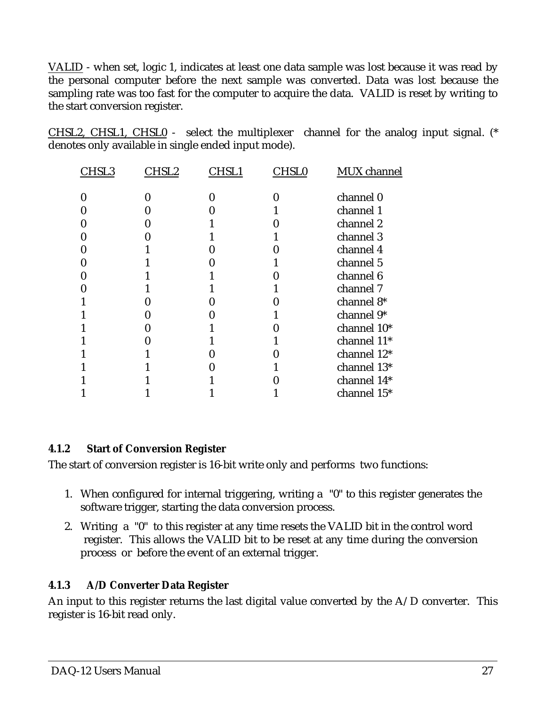VALID - when set, logic 1, indicates at least one data sample was lost because it was read by the personal computer before the next sample was converted. Data was lost because the sampling rate was too fast for the computer to acquire the data. VALID is reset by writing to the start conversion register.

CHSL2, CHSL1, CHSL0 - select the multiplexer channel for the analog input signal. (\* denotes only available in single ended input mode).

| CHSL3 | CHSL2 | CHSL1 | CHSL0 | <b>MUX</b> channel |
|-------|-------|-------|-------|--------------------|
|       |       |       |       |                    |
|       |       |       |       | channel 0          |
|       |       |       |       | channel 1          |
|       |       |       |       | channel 2          |
|       |       |       |       | channel 3          |
|       |       |       |       | channel 4          |
|       |       |       |       | channel 5          |
|       |       |       |       | channel 6          |
|       |       |       |       | channel 7          |
|       |       |       |       | channel 8*         |
|       |       |       |       | channel 9*         |
|       |       |       |       | channel 10*        |
|       |       |       |       | channel 11*        |
|       |       |       |       | channel 12*        |
|       |       |       |       | channel 13*        |
|       |       |       |       | channel 14*        |
|       |       |       |       | channel 15*        |

#### **4.1.2 Start of Conversion Register**

The start of conversion register is 16-bit write only and performs two functions:

- 1. When configured for internal triggering, writing a "0" to this register generates the software trigger, starting the data conversion process.
- 2. Writing a "0" to this register at any time resets the VALID bit in the control word register. This allows the VALID bit to be reset at any time during the conversion process or before the event of an external trigger.

#### **4.1.3 A/D Converter Data Register**

An input to this register returns the last digital value converted by the A/D converter. This register is 16-bit read only.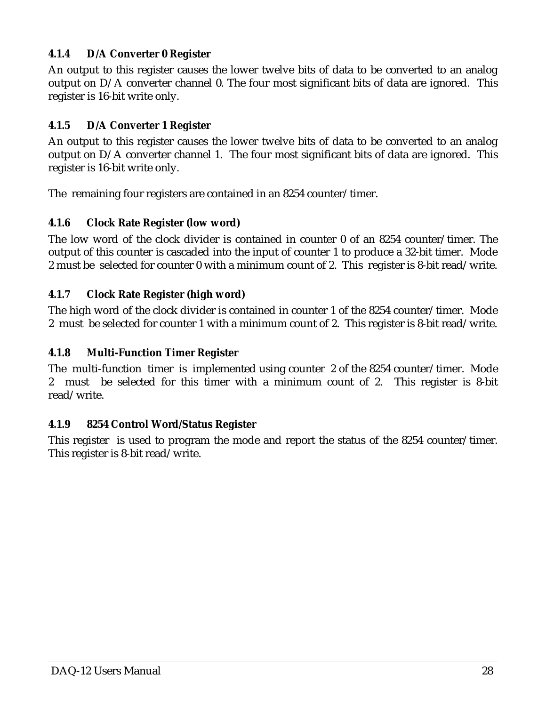#### **4.1.4 D/A Converter 0 Register**

An output to this register causes the lower twelve bits of data to be converted to an analog output on D/A converter channel 0. The four most significant bits of data are ignored. This register is 16-bit write only.

#### **4.1.5 D/A Converter 1 Register**

An output to this register causes the lower twelve bits of data to be converted to an analog output on D/A converter channel 1. The four most significant bits of data are ignored. This register is 16-bit write only.

The remaining four registers are contained in an 8254 counter/timer.

#### **4.1.6 Clock Rate Register (low word)**

The low word of the clock divider is contained in counter 0 of an 8254 counter/timer. The output of this counter is cascaded into the input of counter 1 to produce a 32-bit timer. Mode 2 must be selected for counter 0 with a minimum count of 2. This register is 8-bit read/write.

#### **4.1.7 Clock Rate Register (high word)**

The high word of the clock divider is contained in counter 1 of the 8254 counter/timer. Mode 2 must be selected for counter 1 with a minimum count of 2. This register is 8-bit read/write.

#### **4.1.8 Multi-Function Timer Register**

The multi-function timer is implemented using counter 2 of the 8254 counter/timer. Mode 2 must be selected for this timer with a minimum count of 2. This register is 8-bit read/write.

#### **4.1.9 8254 Control Word/Status Register**

This register is used to program the mode and report the status of the 8254 counter/timer. This register is 8-bit read/write.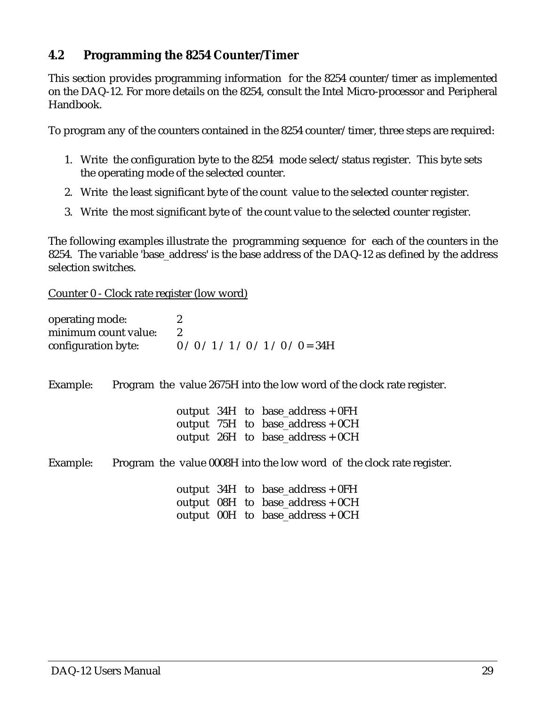#### **4.2 Programming the 8254 Counter/Timer**

This section provides programming information for the 8254 counter/timer as implemented on the DAQ-12. For more details on the 8254, consult the Intel Micro-processor and Peripheral Handbook.

To program any of the counters contained in the 8254 counter/timer, three steps are required:

- 1. Write the configuration byte to the 8254 mode select/status register. This byte sets the operating mode of the selected counter.
- 2. Write the least significant byte of the count value to the selected counter register.
- 3. Write the most significant byte of the count value to the selected counter register.

The following examples illustrate the programming sequence for each of the counters in the 8254. The variable 'base\_address' is the base address of the DAQ-12 as defined by the address selection switches.

Counter 0 - Clock rate register (low word)

| operating mode:<br>minimum count value:<br>configuration byte: $0/0/1/1/0/1/0$ / 0 = 34H | $\boldsymbol{2}$<br>$\boldsymbol{2}$ |  |                                                                                                              |
|------------------------------------------------------------------------------------------|--------------------------------------|--|--------------------------------------------------------------------------------------------------------------|
| Example:                                                                                 |                                      |  | Program the value 2675H into the low word of the clock rate register.                                        |
|                                                                                          |                                      |  | output $34H$ to base_address + 0FH<br>output 75H to base_address + 0CH<br>output $26H$ to base_address + 0CH |
| Example:                                                                                 |                                      |  | Program the value 0008H into the low word of the clock rate register.                                        |
|                                                                                          |                                      |  | output $34H$ to base_address + 0FH<br>output 08H to base_address + 0CH<br>output $00H$ to base_address + 0CH |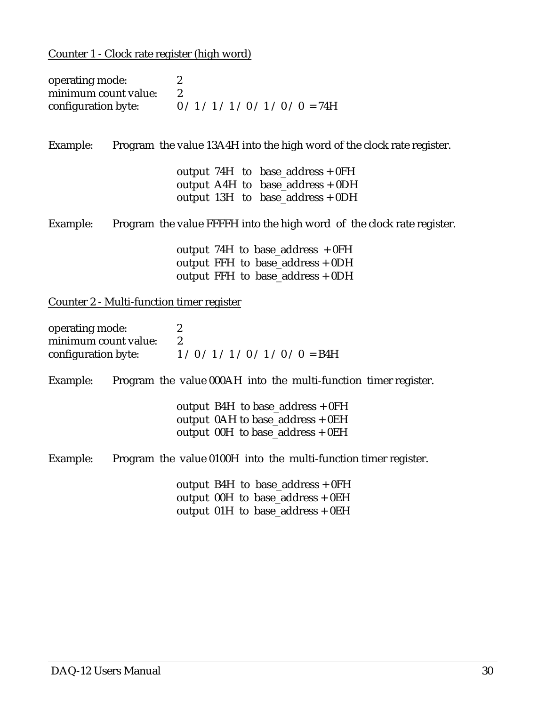Counter 1 - Clock rate register (high word)

| operating mode:<br>minimum count value:   | $\boldsymbol{2}$<br>$\boldsymbol{2}$<br>configuration byte: $0/1/1/1/0/1/0/0 = 74H$ |
|-------------------------------------------|-------------------------------------------------------------------------------------|
| Example:                                  | Program the value 13A4H into the high word of the clock rate register.              |
|                                           | output $74H$ to base_address + 0FH                                                  |
|                                           | output A4H to base_address $+$ 0DH                                                  |
|                                           | output $13H$ to base_address + 0DH                                                  |
| Example:                                  | Program the value FFFFH into the high word of the clock rate register.              |
|                                           | output 74H to base_address $+0FH$                                                   |
|                                           | output FFH to base_address + 0DH                                                    |
|                                           | output FFH to base_address + 0DH                                                    |
| Counter 2 - Multi-function timer register |                                                                                     |
| operating mode:                           | $\boldsymbol{2}$                                                                    |
| minimum count value:                      | $\boldsymbol{2}$                                                                    |
|                                           | configuration byte: $1/0/1/1/0/1/0$ / 0 = B4H                                       |

Example: Program the value 000AH into the multi-function timer register.

| output B4H to base_address $+ 0FH$   |
|--------------------------------------|
| output $0AH$ to base_address + $0EH$ |
| output $00H$ to base_address + $0EH$ |

Example: Program the value 0100H into the multi-function timer register.

 output B4H to base\_address + 0FH output 00H to base\_address + 0EH output 01H to base\_address + 0EH